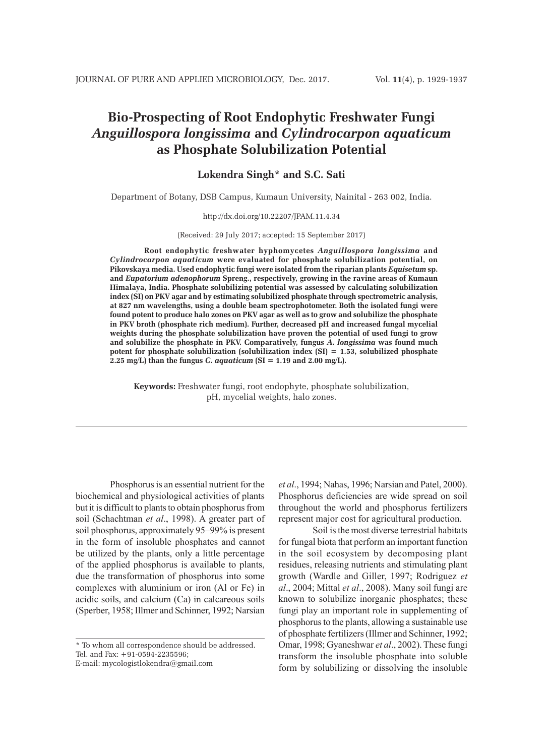# **Bio-Prospecting of Root Endophytic Freshwater Fungi**  *Anguillospora longissima* **and** *Cylindrocarpon aquaticum* **as Phosphate Solubilization Potential**

## **Lokendra Singh\* and S.C. Sati**

Department of Botany, DSB Campus, Kumaun University, Nainital - 263 002, India.

### http://dx.doi.org/10.22207/JPAM.11.4.34

## (Received: 29 July 2017; accepted: 15 September 2017)

**Root endophytic freshwater hyphomycetes** *Anguillospora longissima* **and**  *Cylindrocarpon aquaticum* **were evaluated for phosphate solubilization potential, on Pikovskaya media. Used endophytic fungi were isolated from the riparian plants** *Equisetum* **sp. and** *Eupatorium adenophorum* **Spreng., respectively, growing in the ravine areas of Kumaun Himalaya, India. Phosphate solubilizing potential was assessed by calculating solubilization index (SI) on PKV agar and by estimating solubilized phosphate through spectrometric analysis, at 827 nm wavelengths, using a double beam spectrophotometer. Both the isolated fungi were found potent to produce halo zones on PKV agar as well as to grow and solubilize the phosphate in PKV broth (phosphate rich medium). Further, decreased pH and increased fungal mycelial weights during the phosphate solubilization have proven the potential of used fungi to grow and solubilize the phosphate in PKV. Comparatively, fungus** *A***.** *longissima* **was found much potent for phosphate solubilization (solubilization index (SI) = 1.53, solubilized phosphate 2.25 mg/L) than the fungus** *C***.** *aquaticum* **(SI = 1.19 and 2.00 mg/L).**

**Keywords:** Freshwater fungi, root endophyte, phosphate solubilization, pH, mycelial weights, halo zones.

Phosphorus is an essential nutrient for the biochemical and physiological activities of plants but it is difficult to plants to obtain phosphorus from soil (Schachtman *et al*., 1998). A greater part of soil phosphorus, approximately 95–99% is present in the form of insoluble phosphates and cannot be utilized by the plants, only a little percentage of the applied phosphorus is available to plants, due the transformation of phosphorus into some complexes with aluminium or iron (Al or Fe) in acidic soils, and calcium (Ca) in calcareous soils (Sperber, 1958; Illmer and Schinner, 1992; Narsian

*et al*., 1994; Nahas, 1996; Narsian and Patel, 2000). Phosphorus deficiencies are wide spread on soil throughout the world and phosphorus fertilizers represent major cost for agricultural production.

Soil is the most diverse terrestrial habitats for fungal biota that perform an important function in the soil ecosystem by decomposing plant residues, releasing nutrients and stimulating plant growth (Wardle and Giller, 1997; Rodriguez *et al*., 2004; Mittal *et al*., 2008). Many soil fungi are known to solubilize inorganic phosphates; these fungi play an important role in supplementing of phosphorus to the plants, allowing a sustainable use of phosphate fertilizers (Illmer and Schinner, 1992; Omar, 1998; Gyaneshwar *et al*., 2002). These fungi transform the insoluble phosphate into soluble form by solubilizing or dissolving the insoluble

<sup>\*</sup> To whom all correspondence should be addressed. Tel. and Fax: +91-0594-2235596;

E-mail: mycologistlokendra@gmail.com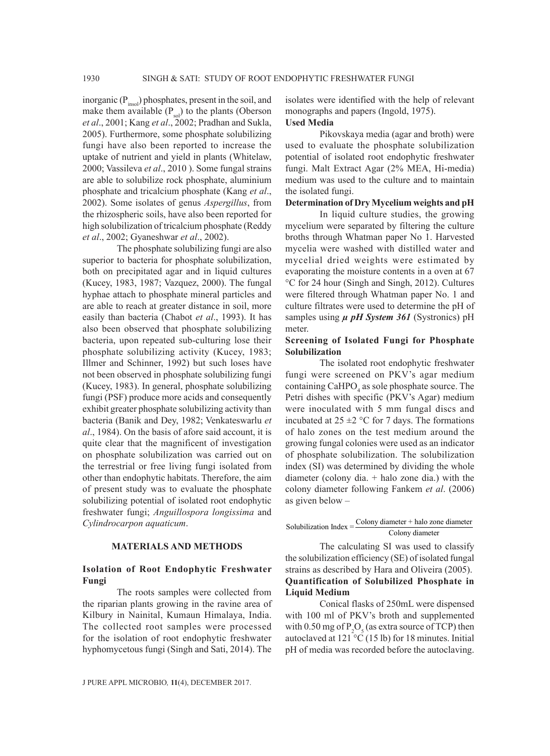inorganic  $(P_{insol})$  phosphates, present in the soil, and make them available  $(P_{sol})$  to the plants (Oberson *et al*., 2001; Kang *et al*., 2002; Pradhan and Sukla, 2005). Furthermore, some phosphate solubilizing fungi have also been reported to increase the uptake of nutrient and yield in plants (Whitelaw, 2000; Vassileva *et al*., 2010 ). Some fungal strains are able to solubilize rock phosphate, aluminium phosphate and tricalcium phosphate (Kang *et al*., 2002). Some isolates of genus *Aspergillus*, from the rhizospheric soils, have also been reported for high solubilization of tricalcium phosphate (Reddy *et al*., 2002; Gyaneshwar *et al*., 2002).

The phosphate solubilizing fungi are also superior to bacteria for phosphate solubilization, both on precipitated agar and in liquid cultures (Kucey, 1983, 1987; Vazquez, 2000). The fungal hyphae attach to phosphate mineral particles and are able to reach at greater distance in soil, more easily than bacteria (Chabot *et al*., 1993). It has also been observed that phosphate solubilizing bacteria, upon repeated sub-culturing lose their phosphate solubilizing activity (Kucey, 1983; Illmer and Schinner, 1992) but such loses have not been observed in phosphate solubilizing fungi (Kucey, 1983). In general, phosphate solubilizing fungi (PSF) produce more acids and consequently exhibit greater phosphate solubilizing activity than bacteria (Banik and Dey, 1982; Venkateswarlu *et al*., 1984). On the basis of afore said account, it is quite clear that the magnificent of investigation on phosphate solubilization was carried out on the terrestrial or free living fungi isolated from other than endophytic habitats. Therefore, the aim of present study was to evaluate the phosphate solubilizing potential of isolated root endophytic freshwater fungi; *Anguillospora longissima* and *Cylindrocarpon aquaticum*.

## **MATERIALS AND METHODS**

## **Isolation of Root Endophytic Freshwater Fungi**

The roots samples were collected from the riparian plants growing in the ravine area of Kilbury in Nainital, Kumaun Himalaya, India. The collected root samples were processed for the isolation of root endophytic freshwater hyphomycetous fungi (Singh and Sati, 2014). The

isolates were identified with the help of relevant monographs and papers (Ingold, 1975). **Used Media**

Pikovskaya media (agar and broth) were used to evaluate the phosphate solubilization potential of isolated root endophytic freshwater fungi. Malt Extract Agar (2% MEA, Hi-media) medium was used to the culture and to maintain the isolated fungi.

## **Determination of Dry Mycelium weights and pH**

In liquid culture studies, the growing mycelium were separated by filtering the culture broths through Whatman paper No 1. Harvested mycelia were washed with distilled water and mycelial dried weights were estimated by evaporating the moisture contents in a oven at 67 °C for 24 hour (Singh and Singh, 2012). Cultures were filtered through Whatman paper No. 1 and culture filtrates were used to determine the pH of samples using  $\mu$  pH System 361 (Systronics) pH meter.

## **Screening of Isolated Fungi for Phosphate Solubilization**

The isolated root endophytic freshwater fungi were screened on PKV's agar medium containing CaHPO<sub>4</sub> as sole phosphate source. The Petri dishes with specific (PKV's Agar) medium were inoculated with 5 mm fungal discs and incubated at  $25 \pm 2$  °C for 7 days. The formations of halo zones on the test medium around the growing fungal colonies were used as an indicator of phosphate solubilization. The solubilization index (SI) was determined by dividing the whole diameter (colony dia. + halo zone dia.) with the colony diameter following Fankem *et al*. (2006) as given below –

## Solubilization Index  $=$  Colony diameter + halo zone diameter Colony diameter

The calculating SI was used to classify the solubilization efficiency (SE) of isolated fungal strains as described by Hara and Oliveira (2005). **Quantification of Solubilized Phosphate in Liquid Medium**

Conical flasks of 250mL were dispensed with 100 ml of PKV's broth and supplemented with 0.50 mg of  $P_2O_5$  (as extra source of TCP) then autoclaved at 121 °C (15 lb) for 18 minutes. Initial pH of media was recorded before the autoclaving.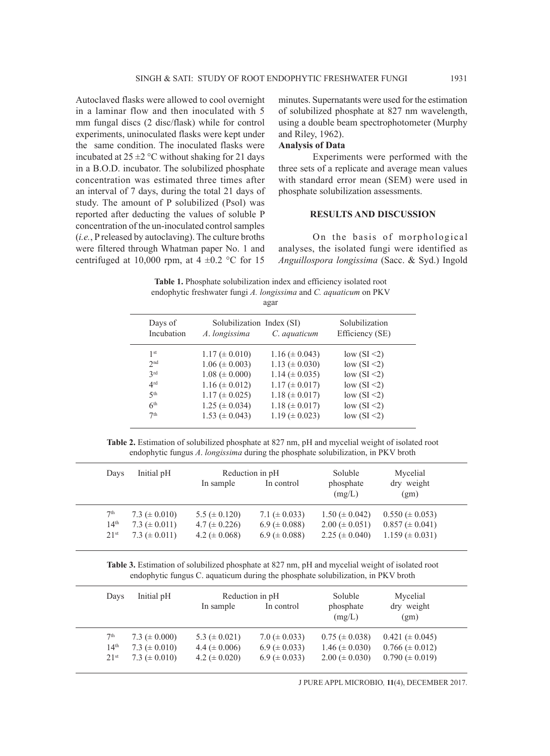Autoclaved flasks were allowed to cool overnight in a laminar flow and then inoculated with 5 mm fungal discs (2 disc/flask) while for control experiments, uninoculated flasks were kept under the same condition. The inoculated flasks were incubated at  $25 \pm 2$  °C without shaking for 21 days in a B.O.D. incubator. The solubilized phosphate concentration was estimated three times after an interval of 7 days, during the total 21 days of study. The amount of P solubilized (Psol) was reported after deducting the values of soluble P concentration of the un-inoculated control samples (*i.e.*, P released by autoclaving). The culture broths were filtered through Whatman paper No. 1 and centrifuged at 10,000 rpm, at  $4 \pm 0.2$  °C for 15 minutes. Supernatants were used for the estimation of solubilized phosphate at 827 nm wavelength, using a double beam spectrophotometer (Murphy and Riley, 1962).

## **Analysis of Data**

Experiments were performed with the three sets of a replicate and average mean values with standard error mean (SEM) were used in phosphate solubilization assessments.

## **RESULTS AND DISCUSSION**

On the basis of morphological analyses, the isolated fungi were identified as *Anguillospora longissima* (Sacc. & Syd.) Ingold

**Table 1.** Phosphate solubilization index and efficiency isolated root endophytic freshwater fungi *A. longissima* and *C. aquaticum* on PKV agar

| Days of<br>Incubation                                                                                                 | Solubilization Index (SI)<br>A. longissima                                                                                                                         | C. aquaticum                                                                                                                                                         | Solubilization<br>Efficiency (SE)                                                                                                |  |
|-----------------------------------------------------------------------------------------------------------------------|--------------------------------------------------------------------------------------------------------------------------------------------------------------------|----------------------------------------------------------------------------------------------------------------------------------------------------------------------|----------------------------------------------------------------------------------------------------------------------------------|--|
| 1 <sup>st</sup><br>2 <sub>nd</sub><br>2rd<br>4 <sup>rd</sup><br>5 <sup>th</sup><br>6 <sup>th</sup><br>7 <sup>th</sup> | $1.17 \ (\pm 0.010)$<br>$1.06 \ (\pm 0.003)$<br>$1.08 (\pm 0.000)$<br>$1.16 \ (\pm 0.012)$<br>$1.17 \ (\pm 0.025)$<br>$1.25 \ (\pm 0.034)$<br>$1.53 \ (\pm 0.043)$ | $1.16 \ (\pm 0.043)$<br>$1.13 \ (\pm 0.030)$<br>$1.14 \ (\pm 0.035)$<br>$1.17 \ (\pm 0.017)$<br>$1.18 \ (\pm 0.017)$<br>$1.18 \ (\pm 0.017)$<br>$1.19 \ (\pm 0.023)$ | low $(SI \leq 2)$<br>low $(SI < 2)$<br>low $(SI < 2)$<br>low $(SI < 2)$<br>low $(SI \leq 2)$<br>low $(SI < 2)$<br>low $(SI < 2)$ |  |
|                                                                                                                       |                                                                                                                                                                    |                                                                                                                                                                      |                                                                                                                                  |  |

**Table 2.** Estimation of solubilized phosphate at 827 nm, pH and mycelial weight of isolated root endophytic fungus *A*. *longissima* during the phosphate solubilization, in PKV broth

| Days             | Initial pH         | In sample          | Reduction in pH<br>In control | Soluble<br>phosphate<br>(mg/L) | Mycelial<br>dry weight<br>(gm) |  |
|------------------|--------------------|--------------------|-------------------------------|--------------------------------|--------------------------------|--|
| 7 <sup>th</sup>  | 7.3 ( $\pm$ 0.010) | $5.5 (\pm 0.120)$  | 7.1 ( $\pm$ 0.033)            | $1.50 \ (\pm 0.042)$           | $0.550 \ (\pm 0.053)$          |  |
| 14 <sup>th</sup> | 7.3 ( $\pm$ 0.011) | $4.7 (\pm 0.226)$  | $6.9 \ (\pm 0.088)$           | $2.00 \ (\pm 0.051)$           | $0.857 \ (\pm 0.041)$          |  |
| 21 <sup>st</sup> | 7.3 ( $\pm$ 0.011) | 4.2 ( $\pm$ 0.068) | $6.9 \ (\pm 0.088)$           | 2.25 ( $\pm$ 0.040)            | $1.159 \ (\pm 0.031)$          |  |

**Table 3.** Estimation of solubilized phosphate at 827 nm, pH and mycelial weight of isolated root endophytic fungus C. aquaticum during the phosphate solubilization, in PKV broth

| Days             | Initial pH         | In sample          | Reduction in pH<br>In control | Soluble<br>phosphate<br>(mg/L) | Mycelial<br>dry weight<br>(gm) |  |
|------------------|--------------------|--------------------|-------------------------------|--------------------------------|--------------------------------|--|
| 7 <sup>th</sup>  | 7.3 ( $\pm$ 0.000) | 5.3 ( $\pm$ 0.021) | $7.0 \ (\pm 0.033)$           | $0.75 \ (\pm 0.038)$           | $0.421 (\pm 0.045)$            |  |
| 14 <sup>th</sup> | $7.3 (\pm 0.010)$  | 4.4 ( $\pm$ 0.006) | $6.9 \ (\pm 0.033)$           | $1.46 \ (\pm 0.030)$           | $0.766 \ (\pm 0.012)$          |  |
| 21 <sup>st</sup> | $7.3 (\pm 0.010)$  | 4.2 ( $\pm$ 0.020) | $6.9 \ (\pm 0.033)$           | $2.00 \ (\pm 0.030)$           | $0.790 \ (\pm 0.019)$          |  |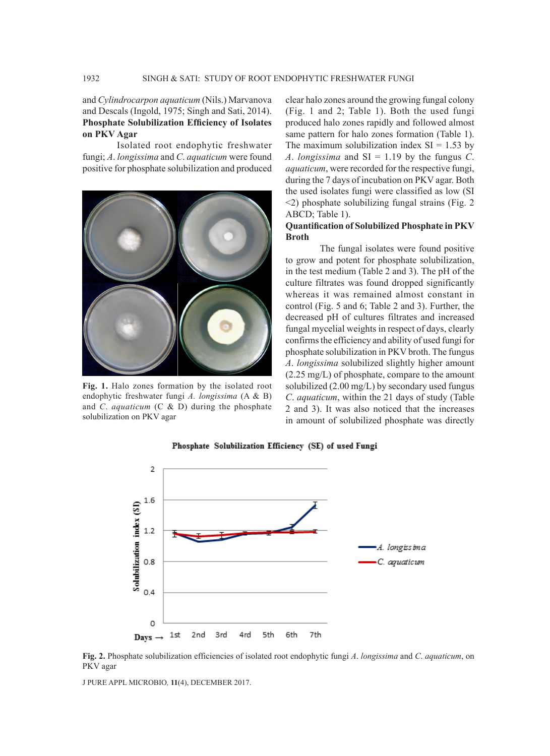and *Cylindrocarpon aquaticum* (Nils.) Marvanova and Descals (Ingold, 1975; Singh and Sati, 2014). **Phosphate Solubilization Efficiency of Isolates on PKV Agar** 

Isolated root endophytic freshwater fungi; *A*. *longissima* and *C*. *aquaticum* were found positive for phosphate solubilization and produced



**Fig. 1.** Halo zones formation by the isolated root endophytic freshwater fungi *A. longissima* (A & B) and *C*. *aquaticum* (C & D) during the phosphate solubilization on PKV agar

clear halo zones around the growing fungal colony (Fig. 1 and 2; Table 1). Both the used fungi produced halo zones rapidly and followed almost same pattern for halo zones formation (Table 1). The maximum solubilization index  $SI = 1.53$  by *A*. *longissima* and SI = 1.19 by the fungus *C*. *aquaticum*, were recorded for the respective fungi, during the 7 days of incubation on PKV agar. Both the used isolates fungi were classified as low (SI <2) phosphate solubilizing fungal strains (Fig. 2 ABCD; Table 1).

## **Quantification of Solubilized Phosphate in PKV Broth**

The fungal isolates were found positive to grow and potent for phosphate solubilization, in the test medium (Table 2 and 3). The pH of the culture filtrates was found dropped significantly whereas it was remained almost constant in control (Fig. 5 and 6; Table 2 and 3). Further, the decreased pH of cultures filtrates and increased fungal mycelial weights in respect of days, clearly confirms the efficiency and ability of used fungi for phosphate solubilization in PKV broth. The fungus *A*. *longissima* solubilized slightly higher amount (2.25 mg/L) of phosphate, compare to the amount solubilized (2.00 mg/L) by secondary used fungus *C*. *aquaticum*, within the 21 days of study (Table 2 and 3). It was also noticed that the increases in amount of solubilized phosphate was directly



#### Phosphate Solubilization Efficiency (SE) of used Fungi

**Fig. 2.** Phosphate solubilization efficiencies of isolated root endophytic fungi *A*. *longissima* and *C*. *aquaticum*, on PKV agar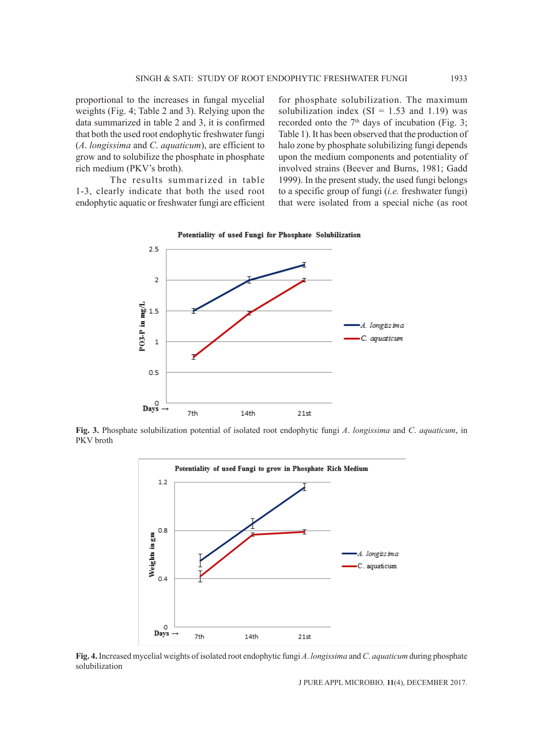proportional to the increases in fungal mycelial weights (Fig. 4; Table 2 and 3). Relying upon the data summarized in table 2 and 3, it is confirmed that both the used root endophytic freshwater fungi (*A*. *longissima* and *C*. *aquaticum*), are efficient to grow and to solubilize the phosphate in phosphate rich medium (PKV's broth).

The results summarized in table 1-3, clearly indicate that both the used root endophytic aquatic or freshwater fungi are efficient for phosphate solubilization. The maximum solubilization index  $(SI = 1.53$  and 1.19) was recorded onto the  $7<sup>th</sup>$  days of incubation (Fig. 3; Table 1). It has been observed that the production of halo zone by phosphate solubilizing fungi depends upon the medium components and potentiality of involved strains (Beever and Burns, 1981; Gadd 1999). In the present study, the used fungi belongs to a specific group of fungi (*i.e.* freshwater fungi) that were isolated from a special niche (as root



**Fig. 3.** Phosphate solubilization potential of isolated root endophytic fungi *A*. *longissima* and *C*. *aquaticum*, in PKV broth



**Fig. 4.** Increased mycelial weights of isolated root endophytic fungi *A*. *longissima* and *C*. *aquaticum* during phosphate solubilization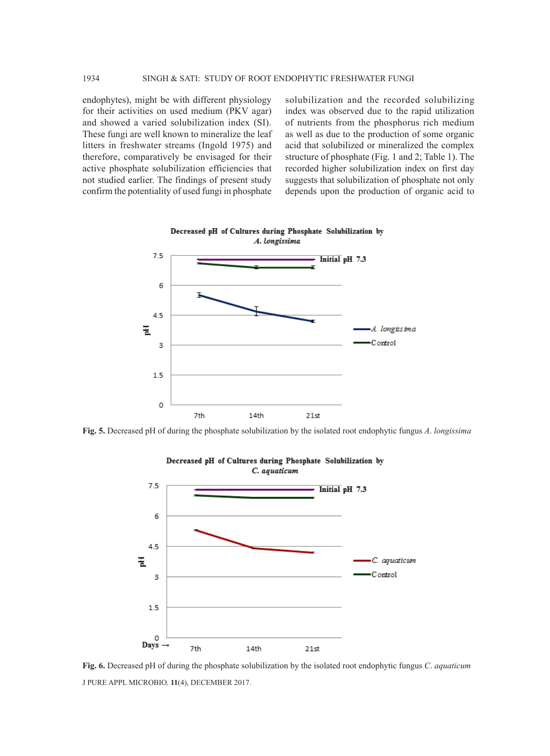endophytes), might be with different physiology for their activities on used medium (PKV agar) and showed a varied solubilization index (SI). These fungi are well known to mineralize the leaf litters in freshwater streams (Ingold 1975) and therefore, comparatively be envisaged for their active phosphate solubilization efficiencies that not studied earlier. The findings of present study confirm the potentiality of used fungi in phosphate

solubilization and the recorded solubilizing index was observed due to the rapid utilization of nutrients from the phosphorus rich medium as well as due to the production of some organic acid that solubilized or mineralized the complex structure of phosphate (Fig. 1 and 2; Table 1). The recorded higher solubilization index on first day suggests that solubilization of phosphate not only depends upon the production of organic acid to



**Fig. 5.** Decreased pH of during the phosphate solubilization by the isolated root endophytic fungus *A*. *longissima*



J PURE APPL MICROBIO*,* **11**(4), DECEMBER 2017. **Fig. 6.** Decreased pH of during the phosphate solubilization by the isolated root endophytic fungus *C*. *aquaticum*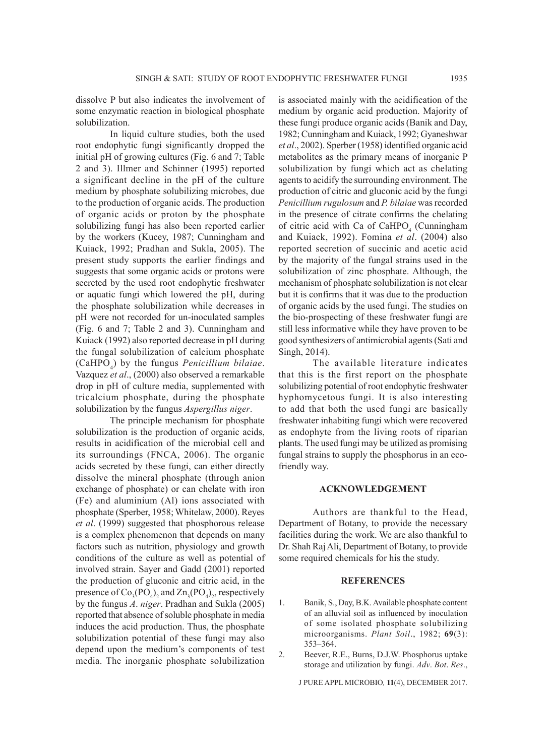dissolve P but also indicates the involvement of some enzymatic reaction in biological phosphate solubilization.

In liquid culture studies, both the used root endophytic fungi significantly dropped the initial pH of growing cultures (Fig. 6 and 7; Table 2 and 3). Illmer and Schinner (1995) reported a significant decline in the pH of the culture medium by phosphate solubilizing microbes, due to the production of organic acids. The production of organic acids or proton by the phosphate solubilizing fungi has also been reported earlier by the workers (Kucey, 1987; Cunningham and Kuiack, 1992; Pradhan and Sukla, 2005). The present study supports the earlier findings and suggests that some organic acids or protons were secreted by the used root endophytic freshwater or aquatic fungi which lowered the pH, during the phosphate solubilization while decreases in pH were not recorded for un-inoculated samples (Fig. 6 and 7; Table 2 and 3). Cunningham and Kuiack (1992) also reported decrease in pH during the fungal solubilization of calcium phosphate (CaHPO4 ) by the fungus *Penicillium bilaiae*. Vazquez *et al*., (2000) also observed a remarkable drop in pH of culture media, supplemented with tricalcium phosphate, during the phosphate solubilization by the fungus *Aspergillus niger*.

The principle mechanism for phosphate solubilization is the production of organic acids, results in acidification of the microbial cell and its surroundings (FNCA, 2006). The organic acids secreted by these fungi, can either directly dissolve the mineral phosphate (through anion exchange of phosphate) or can chelate with iron (Fe) and aluminium (Al) ions associated with phosphate (Sperber, 1958; Whitelaw, 2000). Reyes *et al*. (1999) suggested that phosphorous release is a complex phenomenon that depends on many factors such as nutrition, physiology and growth conditions of the culture as well as potential of involved strain. Sayer and Gadd (2001) reported the production of gluconic and citric acid, in the presence of  $Co_3(PO_4)$ <sub>2</sub> and  $Zn_3(PO_4)$ <sub>2</sub>, respectively by the fungus *A*. *niger*. Pradhan and Sukla (2005) reported that absence of soluble phosphate in media induces the acid production. Thus, the phosphate solubilization potential of these fungi may also depend upon the medium's components of test media. The inorganic phosphate solubilization

is associated mainly with the acidification of the medium by organic acid production. Majority of these fungi produce organic acids (Banik and Day, 1982; Cunningham and Kuiack, 1992; Gyaneshwar *et al*., 2002). Sperber (1958) identified organic acid metabolites as the primary means of inorganic P solubilization by fungi which act as chelating agents to acidify the surrounding environment. The production of citric and gluconic acid by the fungi *Penicillium rugulosum* and *P. bilaiae* was recorded in the presence of citrate confirms the chelating of citric acid with Ca of CaHPO<sub>4</sub> (Cunningham and Kuiack, 1992). Fomina *et al*. (2004) also reported secretion of succinic and acetic acid by the majority of the fungal strains used in the solubilization of zinc phosphate. Although, the mechanism of phosphate solubilization is not clear but it is confirms that it was due to the production of organic acids by the used fungi. The studies on the bio-prospecting of these freshwater fungi are still less informative while they have proven to be good synthesizers of antimicrobial agents (Sati and Singh, 2014).

The available literature indicates that this is the first report on the phosphate solubilizing potential of root endophytic freshwater hyphomycetous fungi. It is also interesting to add that both the used fungi are basically freshwater inhabiting fungi which were recovered as endophyte from the living roots of riparian plants. The used fungi may be utilized as promising fungal strains to supply the phosphorus in an ecofriendly way.

## **ACKNOWLEDGEMENT**

Authors are thankful to the Head, Department of Botany, to provide the necessary facilities during the work. We are also thankful to Dr. Shah Raj Ali, Department of Botany, to provide some required chemicals for his the study.

### **REFERENCES**

- 1. Banik, S., Day, B.K. Available phosphate content of an alluvial soil as influenced by inoculation of some isolated phosphate solubilizing microorganisms. *Plant Soil*., 1982; **69**(3): 353–364.
- 2. Beever, R.E., Burns, D.J.W. Phosphorus uptake storage and utilization by fungi. *Adv*. *Bot*. *Res*.,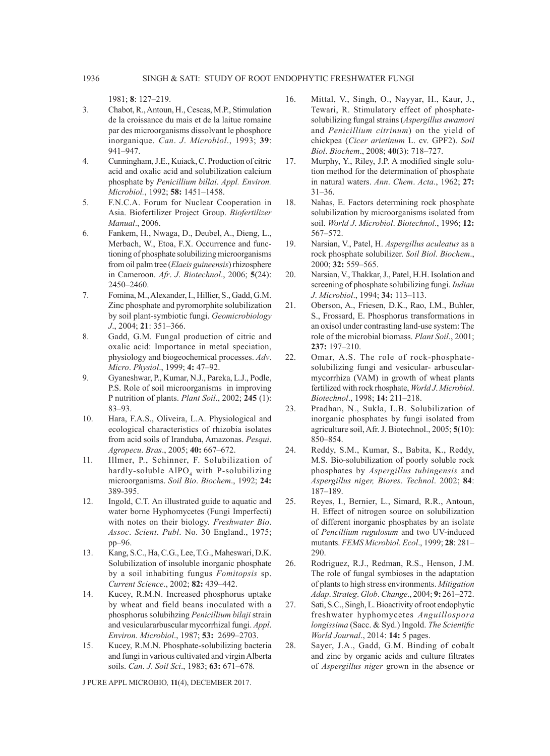1981; **8**: 127–219.

- 3. Chabot, R., Antoun, H., Cescas, M.P., Stimulation de la croissance du mais et de la laitue romaine par des microorganisms dissolvant le phosphore inorganique. *Can*. *J*. *Microbiol*., 1993; **39**: 941–947.
- 4. Cunningham, J.E., Kuiack, C. Production of citric acid and oxalic acid and solubilization calcium phosphate by *Penicillium billai*. *Appl. Environ. Microbiol.*, 1992; **58:** 1451–1458.
- 5. F.N.C.A. Forum for Nuclear Cooperation in Asia. Biofertilizer Project Group. *Biofertilizer Manual*., 2006.
- 6. Fankem, H., Nwaga, D., Deubel, A., Dieng, L., Merbach, W., Etoa, F.X. Occurrence and functioning of phosphate solubilizing microorganisms from oil palm tree (*Elaeis guineensis*) rhizosphere in Cameroon. *Afr*. *J*. *Biotechnol*., 2006; **5**(24): 2450–2460.
- 7. Fomina, M., Alexander, I., Hillier, S., Gadd, G.M. Zinc phosphate and pyromorphite solubilization by soil plant-symbiotic fungi. *Geomicrobiology J*., 2004; **21**: 351–366.
- 8. Gadd, G.M. Fungal production of citric and oxalic acid: Importance in metal speciation, physiology and biogeochemical processes. *Adv*. *Micro*. *Physiol*., 1999; **4:** 47–92.
- 9. Gyaneshwar, P., Kumar, N.J., Pareka, L.J., Podle, P.S. Role of soil microorganisms in improving P nutrition of plants. *Plant Soil*., 2002; **245** (1): 83–93.
- 10. Hara, F.A.S., Oliveira, L.A. Physiological and ecological characteristics of rhizobia isolates from acid soils of Iranduba, Amazonas. *Pesqui*. *Agropecu*. *Bras*., 2005; **40:** 667–672.
- 11. Illmer, P., Schinner, F. Solubilization of hardly-soluble  $A_1PO_4$  with P-solubilizing microorganisms. *Soil Bio*. *Biochem*., 1992; **24:** 389-395.
- 12. Ingold, C.T. An illustrated guide to aquatic and water borne Hyphomycetes (Fungi Imperfecti) with notes on their biology. *Freshwater Bio*. *Assoc*. *Scient*. *Publ*. No. 30 England., 1975; pp–96.
- 13. Kang, S.C., Ha, C.G., Lee, T.G., Maheswari, D.K. Solubilization of insoluble inorganic phosphate by a soil inhabiting fungus *Fomitopsis* sp. *Current Science*., 2002; **82:** 439–442.
- 14. Kucey, R.M.N. Increased phosphorus uptake by wheat and field beans inoculated with a phosphorus solubihzing *Penicillium bilaji*strain and vesiculararbuscular mycorrhizal fungi. *Appl*. *Environ*. *Microbiol*., 1987; **53:** 2699–2703.
- 15. Kucey, R.M.N. Phosphate-solubilizing bacteria and fungi in various cultivated and virgin Alberta soils. *Can*. *J*. *Soil Sci*., 1983; **63:** 671–678*.*

- 16. Mittal, V., Singh, O., Nayyar, H., Kaur, J., Tewari, R. Stimulatory effect of phosphatesolubilizing fungal strains (*Aspergillus awamori* and *Penicillium citrinum*) on the yield of chickpea (*Cicer arietinum* L. cv. GPF2). *Soil Biol*. *Biochem*., 2008; **40**(3): 718–727.
- 17. Murphy, Y., Riley, J.P. A modified single solution method for the determination of phosphate in natural waters. *Ann*. *Chem*. *Acta*., 1962; **27:** 31–36.
- 18. Nahas, E. Factors determining rock phosphate solubilization by microorganisms isolated from soil. *World J*. *Microbiol*. *Biotechnol*., 1996; **12:** 567–572.
- 19. Narsian, V., Patel, H. *Aspergillus aculeatus* as a rock phosphate solubilizer. *Soil Biol*. *Biochem*., 2000; **32:** 559–565.
- 20. Narsian, V., Thakkar, J., Patel, H.H. Isolation and screening of phosphate solubilizing fungi. *Indian J*. *Microbiol*., 1994; **34:** 113–113.
- 21. Oberson, A., Friesen, D.K., Rao, I.M., Buhler, S., Frossard, E. Phosphorus transformations in an oxisol under contrasting land-use system: The role of the microbial biomass. *Plant Soil*., 2001; **237:** 197–210.
- 22. Omar, A.S. The role of rock-phosphatesolubilizing fungi and vesicular- arbuscularmycorrhiza (VAM) in growth of wheat plants fertilized with rock rhosphate, *World J*. *Microbiol*. *Biotechnol*., 1998; **14:** 211–218.
- 23. Pradhan, N., Sukla, L.B. Solubilization of inorganic phosphates by fungi isolated from agriculture soil, Afr. J. Biotechnol., 2005; **5**(10): 850–854.
- 24. Reddy, S.M., Kumar, S., Babita, K., Reddy, M.S. Bio-solubilization of poorly soluble rock phosphates by *Aspergillus tubingensis* and *Aspergillus niger, Biores*. *Technol*. 2002; **84**: 187–189.
- 25. Reyes, I., Bernier, L., Simard, R.R., Antoun, H. Effect of nitrogen source on solubilization of different inorganic phosphates by an isolate of *Pencillium rugulosum* and two UV-induced mutants. *FEMS Microbiol. Ecol*., 1999; **28**: 281– 290.
- 26. Rodriguez, R.J., Redman, R.S., Henson, J.M. The role of fungal symbioses in the adaptation of plants to high stress environments. *Mitigation Adap*. *Strateg*. *Glob*. *Change*., 2004; **9:** 261–272.
- 27. Sati, S.C., Singh, L. Bioactivity of root endophytic freshwater hyphomycetes *Anguillospora longissima* (Sacc. & Syd.) Ingold. *The Scientific World Journal*., 2014: **14:** 5 pages.
- 28. Sayer, J.A., Gadd, G.M. Binding of cobalt and zinc by organic acids and culture filtrates of *Aspergillus niger* grown in the absence or